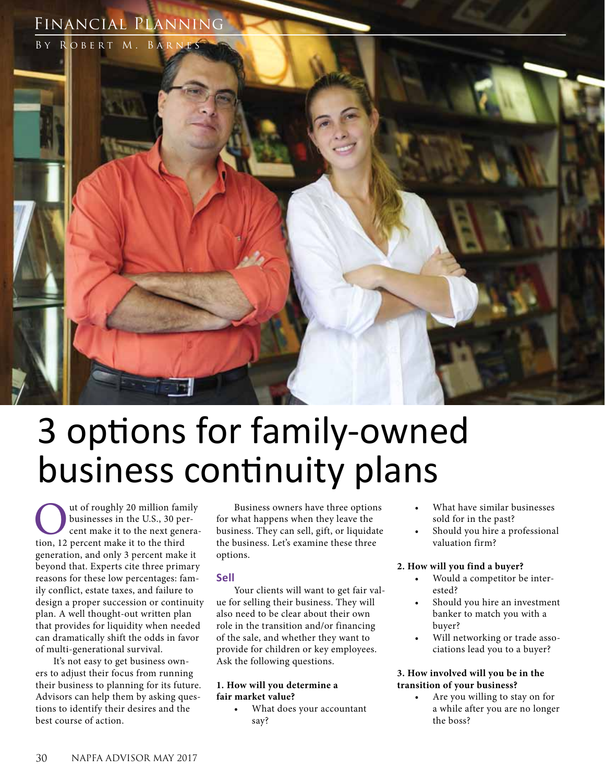# Financial Planning



# 3 options for family-owned business continuity plans

Out of roughly 20 million family<br>businesses in the U.S., 30 per-<br>cent make it to the next genera<br>tion, 12 percent make it to the third businesses in the U.S., 30 percent make it to the next generageneration, and only 3 percent make it beyond that. Experts cite three primary reasons for these low percentages: family conflict, estate taxes, and failure to design a proper succession or continuity plan. A well thought-out written plan that provides for liquidity when needed can dramatically shift the odds in favor of multi-generational survival.

It's not easy to get business owners to adjust their focus from running their business to planning for its future. Advisors can help them by asking questions to identify their desires and the best course of action.

Business owners have three options for what happens when they leave the business. They can sell, gift, or liquidate the business. Let's examine these three options.

#### **Sell**

Your clients will want to get fair value for selling their business. They will also need to be clear about their own role in the transition and/or financing of the sale, and whether they want to provide for children or key employees. Ask the following questions.

#### **1. How will you determine a fair market value?**

What does your accountant say?

- What have similar businesses sold for in the past?
- Should you hire a professional valuation firm?

#### **2. How will you find a buyer?**

- Would a competitor be interested?
- Should you hire an investment banker to match you with a buyer?
- Will networking or trade associations lead you to a buyer?

#### **3. How involved will you be in the transition of your business?**

Are you willing to stay on for a while after you are no longer the boss?